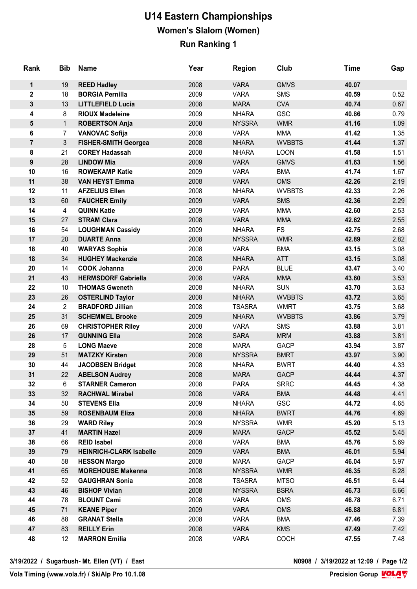## **U14 Eastern Championships Women's Slalom (Women) Run Ranking 1**

| Rank             | <b>Bib</b>     | <b>Name</b>                              | Year         | <b>Region</b>              | Club                      | <b>Time</b>    | Gap          |
|------------------|----------------|------------------------------------------|--------------|----------------------------|---------------------------|----------------|--------------|
| 1                | 19             | <b>REED Hadley</b>                       | 2008         | <b>VARA</b>                | <b>GMVS</b>               | 40.07          |              |
| $\mathbf 2$      | 18             | <b>BORGIA Pernilla</b>                   | 2009         | <b>VARA</b>                | <b>SMS</b>                | 40.59          | 0.52         |
| $\mathbf{3}$     | 13             | <b>LITTLEFIELD Lucia</b>                 | 2008         | <b>MARA</b>                | <b>CVA</b>                | 40.74          | 0.67         |
| 4                | 8              | <b>RIOUX Madeleine</b>                   | 2009         | <b>NHARA</b>               | GSC                       | 40.86          | 0.79         |
| 5                | $\mathbf{1}$   | <b>ROBERTSON Anja</b>                    | 2008         | <b>NYSSRA</b>              | <b>WMR</b>                | 41.16          | 1.09         |
| 6                | $\overline{7}$ | <b>VANOVAC Sofija</b>                    | 2008         | <b>VARA</b>                | <b>MMA</b>                | 41.42          | 1.35         |
| $\overline{7}$   | 3              | <b>FISHER-SMITH Georgea</b>              | 2008         | <b>NHARA</b>               | <b>WVBBTS</b>             | 41.44          | 1.37         |
| 8                | 21             | <b>COREY Hadassah</b>                    | 2008         | <b>NHARA</b>               | <b>LOON</b>               | 41.58          | 1.51         |
| 9                | 28             | <b>LINDOW Mia</b>                        | 2009         | <b>VARA</b>                | <b>GMVS</b>               | 41.63          | 1.56         |
| 10               | 16             | <b>ROWEKAMP Katie</b>                    | 2009         | <b>VARA</b>                | <b>BMA</b>                | 41.74          | 1.67         |
| 11               | 38             | <b>VAN HEYST Emma</b>                    | 2008         | <b>VARA</b>                | <b>OMS</b>                | 42.26          | 2.19         |
| 12               | 11             | <b>AFZELIUS Ellen</b>                    | 2008         | <b>NHARA</b>               | <b>WVBBTS</b>             | 42.33          | 2.26         |
| 13               | 60             | <b>FAUCHER Emily</b>                     | 2009         | <b>VARA</b>                | <b>SMS</b>                | 42.36          | 2.29         |
| 14               | 4              | <b>QUINN Katie</b>                       | 2009         | <b>VARA</b>                | <b>MMA</b>                | 42.60          | 2.53         |
| 15               | 27             | <b>STRAM Clara</b>                       | 2008         | <b>VARA</b>                | <b>MMA</b>                | 42.62          | 2.55         |
| 16               | 54             | <b>LOUGHMAN Cassidy</b>                  | 2009         | <b>NHARA</b>               | <b>FS</b>                 | 42.75          | 2.68         |
| 17               | 20             | <b>DUARTE Anna</b>                       | 2008         | <b>NYSSRA</b>              | <b>WMR</b>                | 42.89          | 2.82         |
| 18               | 40             | <b>WARYAS Sophia</b>                     | 2008         | <b>VARA</b>                | <b>BMA</b>                | 43.15          | 3.08         |
| 18               | 34             | <b>HUGHEY Mackenzie</b>                  | 2008         | <b>NHARA</b>               | <b>ATT</b>                | 43.15          | 3.08         |
| 20               | 14             | <b>COOK Johanna</b>                      | 2008         | <b>PARA</b>                | <b>BLUE</b>               | 43.47          | 3.40         |
| 21               | 43             | <b>HERMSDORF Gabriella</b>               | 2008         | <b>VARA</b>                | <b>MMA</b>                | 43.60          | 3.53         |
| 22               | 10             | <b>THOMAS Gweneth</b>                    | 2008         | <b>NHARA</b>               | <b>SUN</b>                | 43.70          | 3.63         |
| 23               | 26             | <b>OSTERLIND Taylor</b>                  | 2008         | <b>NHARA</b>               | <b>WVBBTS</b>             | 43.72          | 3.65         |
| 24               | $\overline{2}$ | <b>BRADFORD Jillian</b>                  | 2008         | <b>TSASRA</b>              | <b>WMRT</b>               | 43.75          | 3.68         |
| 25               | 31             | <b>SCHEMMEL Brooke</b>                   | 2009         | <b>NHARA</b>               | <b>WVBBTS</b>             | 43.86          | 3.79         |
| 26               | 69             | <b>CHRISTOPHER Riley</b>                 | 2008         | <b>VARA</b>                | <b>SMS</b>                | 43.88          | 3.81         |
| 26               | 17             | <b>GUNNING Ella</b>                      | 2008         | <b>SARA</b>                | <b>MRM</b>                | 43.88          | 3.81         |
| 28               | 5              | <b>LONG Maeve</b>                        | 2008         | <b>MARA</b>                | GACP                      | 43.94          | 3.87         |
| 29               | 51             | <b>MATZKY Kirsten</b>                    | 2008         | <b>NYSSRA</b>              | <b>BMRT</b>               | 43.97          | 3.90         |
| 30               | 44             | <b>JACOBSEN Bridget</b>                  | 2008         | <b>NHARA</b>               | <b>BWRT</b>               | 44.40          | 4.33         |
| 31               | 22             | <b>ABELSON Audrey</b>                    | 2008         | <b>MARA</b>                | <b>GACP</b>               | 44.44          | 4.37         |
| 32               | 6              | <b>STARNER Cameron</b>                   | 2008         | <b>PARA</b>                | <b>SRRC</b>               | 44.45          | 4.38         |
| 33               | 32             | <b>RACHWAL Mirabel</b>                   | 2008         | <b>VARA</b>                | <b>BMA</b>                | 44.48          | 4.41         |
| 34               | 50             | <b>STEVENS Ella</b>                      | 2009         | <b>NHARA</b>               | <b>GSC</b>                | 44.72          | 4.65         |
| $35\phantom{.0}$ | 59             | <b>ROSENBAUM Eliza</b>                   | 2008         | <b>NHARA</b>               | <b>BWRT</b>               | 44.76          | 4.69         |
| 36<br>37         | 29<br>41       | <b>WARD Riley</b><br><b>MARTIN Hazel</b> | 2009<br>2009 | <b>NYSSRA</b>              | <b>WMR</b><br><b>GACP</b> | 45.20          | 5.13<br>5.45 |
| 38               | 66             | <b>REID Isabel</b>                       | 2008         | <b>MARA</b><br><b>VARA</b> | <b>BMA</b>                | 45.52<br>45.76 | 5.69         |
| 39               | 79             | <b>HEINRICH-CLARK Isabelle</b>           | 2009         | <b>VARA</b>                | <b>BMA</b>                | 46.01          | 5.94         |
| 40               | 58             | <b>HESSON Margo</b>                      | 2008         | <b>MARA</b>                | GACP                      | 46.04          | 5.97         |
| 41               | 65             | <b>MOREHOUSE Makenna</b>                 | 2008         | <b>NYSSRA</b>              | <b>WMR</b>                | 46.35          | 6.28         |
| 42               | 52             | <b>GAUGHRAN Sonia</b>                    | 2008         | <b>TSASRA</b>              | <b>MTSO</b>               | 46.51          | 6.44         |
| 43               | 46             | <b>BISHOP Vivian</b>                     | 2008         | <b>NYSSRA</b>              | <b>BSRA</b>               | 46.73          | 6.66         |
| 44               | 78             | <b>BLOUNT Cami</b>                       | 2008         | <b>VARA</b>                | <b>OMS</b>                | 46.78          | 6.71         |
| 45               | 71             | <b>KEANE Piper</b>                       | 2009         | <b>VARA</b>                | <b>OMS</b>                | 46.88          | 6.81         |
| 46               | 88             | <b>GRANAT Stella</b>                     | 2008         | <b>VARA</b>                | <b>BMA</b>                | 47.46          | 7.39         |
| 47               | 83             | <b>REILLY Erin</b>                       | 2008         | <b>VARA</b>                | <b>KMS</b>                | 47.49          | 7.42         |
| 48               | 12             | <b>MARRON Emilia</b>                     | 2008         | VARA                       | <b>COCH</b>               | 47.55          | 7.48         |
|                  |                |                                          |              |                            |                           |                |              |

**3/19/2022 / Sugarbush- Mt. Ellen (VT) / East N0908 / 3/19/2022 at 12:09 / Page 1/2**